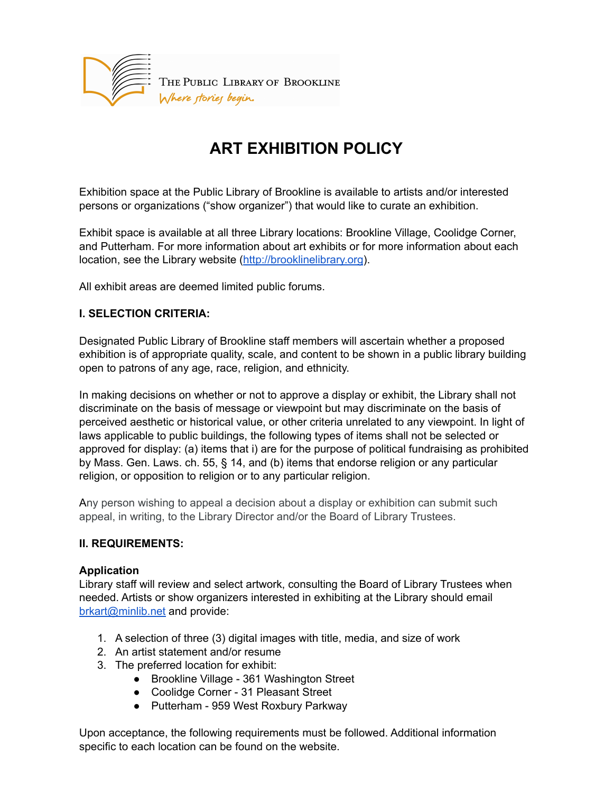

# **ART EXHIBITION POLICY**

Exhibition space at the Public Library of Brookline is available to artists and/or interested persons or organizations ("show organizer") that would like to curate an exhibition.

Exhibit space is available at all three Library locations: Brookline Village, Coolidge Corner, and Putterham. For more information about art exhibits or for more information about each location, see the Library website ([http://brooklinelibrary.org](http://brooklinelibrary.org/)).

All exhibit areas are deemed limited public forums.

## **I. SELECTION CRITERIA:**

Designated Public Library of Brookline staff members will ascertain whether a proposed exhibition is of appropriate quality, scale, and content to be shown in a public library building open to patrons of any age, race, religion, and ethnicity.

In making decisions on whether or not to approve a display or exhibit, the Library shall not discriminate on the basis of message or viewpoint but may discriminate on the basis of perceived aesthetic or historical value, or other criteria unrelated to any viewpoint. In light of laws applicable to public buildings, the following types of items shall not be selected or approved for display: (a) items that i) are for the purpose of political fundraising as prohibited by Mass. Gen. Laws. ch. 55, § 14, and (b) items that endorse religion or any particular religion, or opposition to religion or to any particular religion.

Any person wishing to appeal a decision about a display or exhibition can submit such appeal, in writing, to the Library Director and/or the Board of Library Trustees.

#### **II. REQUIREMENTS:**

#### **Application**

Library staff will review and select artwork, consulting the Board of Library Trustees when needed. Artists or show organizers interested in exhibiting at the Library should email [brkart@minlib.net](mailto:brkart@minlib.net) and provide:

- 1. A selection of three (3) digital images with title, media, and size of work
- 2. An artist statement and/or resume
- 3. The preferred location for exhibit:
	- Brookline Village 361 Washington Street
	- Coolidge Corner 31 Pleasant Street
	- Putterham 959 West Roxbury Parkway

Upon acceptance, the following requirements must be followed. Additional information specific to each location can be found on the website.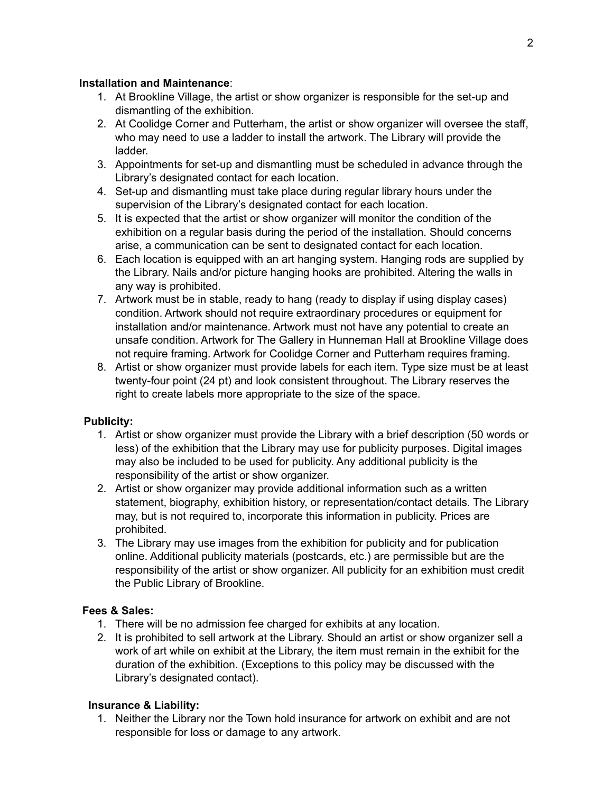## **Installation and Maintenance**:

- 1. At Brookline Village, the artist or show organizer is responsible for the set-up and dismantling of the exhibition.
- 2. At Coolidge Corner and Putterham, the artist or show organizer will oversee the staff, who may need to use a ladder to install the artwork. The Library will provide the ladder.
- 3. Appointments for set-up and dismantling must be scheduled in advance through the Library's designated contact for each location.
- 4. Set-up and dismantling must take place during regular library hours under the supervision of the Library's designated contact for each location.
- 5. It is expected that the artist or show organizer will monitor the condition of the exhibition on a regular basis during the period of the installation. Should concerns arise, a communication can be sent to designated contact for each location.
- 6. Each location is equipped with an art hanging system. Hanging rods are supplied by the Library. Nails and/or picture hanging hooks are prohibited. Altering the walls in any way is prohibited.
- 7. Artwork must be in stable, ready to hang (ready to display if using display cases) condition. Artwork should not require extraordinary procedures or equipment for installation and/or maintenance. Artwork must not have any potential to create an unsafe condition. Artwork for The Gallery in Hunneman Hall at Brookline Village does not require framing. Artwork for Coolidge Corner and Putterham requires framing.
- 8. Artist or show organizer must provide labels for each item. Type size must be at least twenty-four point (24 pt) and look consistent throughout. The Library reserves the right to create labels more appropriate to the size of the space.

## **Publicity:**

- 1. Artist or show organizer must provide the Library with a brief description (50 words or less) of the exhibition that the Library may use for publicity purposes. Digital images may also be included to be used for publicity. Any additional publicity is the responsibility of the artist or show organizer.
- 2. Artist or show organizer may provide additional information such as a written statement, biography, exhibition history, or representation/contact details. The Library may, but is not required to, incorporate this information in publicity. Prices are prohibited.
- 3. The Library may use images from the exhibition for publicity and for publication online. Additional publicity materials (postcards, etc.) are permissible but are the responsibility of the artist or show organizer. All publicity for an exhibition must credit the Public Library of Brookline.

## **Fees & Sales:**

- 1. There will be no admission fee charged for exhibits at any location.
- 2. It is prohibited to sell artwork at the Library. Should an artist or show organizer sell a work of art while on exhibit at the Library, the item must remain in the exhibit for the duration of the exhibition. (Exceptions to this policy may be discussed with the Library's designated contact).

## **Insurance & Liability:**

1. Neither the Library nor the Town hold insurance for artwork on exhibit and are not responsible for loss or damage to any artwork.